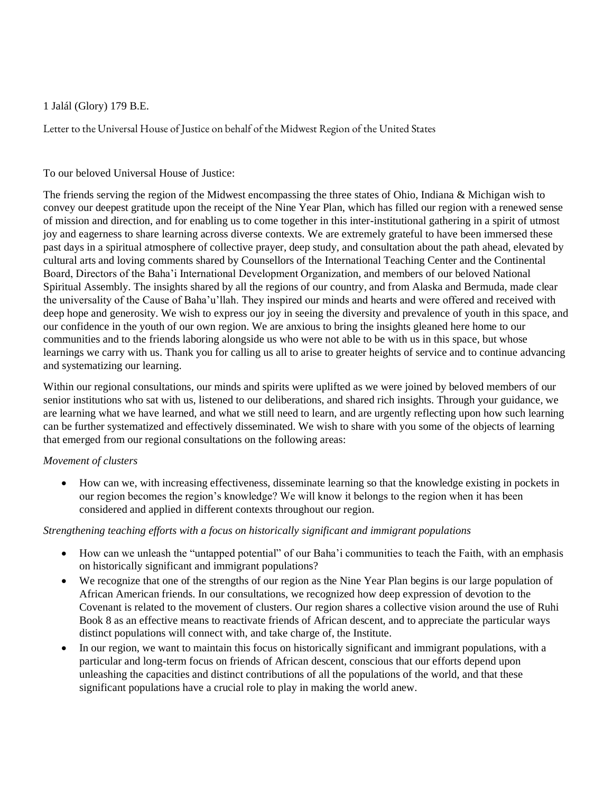1 Jalál (Glory) 179 B.E.

Letter to the Universal House of Justice on behalf of the Midwest Region of the United States

## To our beloved Universal House of Justice:

The friends serving the region of the Midwest encompassing the three states of Ohio, Indiana & Michigan wish to convey our deepest gratitude upon the receipt of the Nine Year Plan, which has filled our region with a renewed sense of mission and direction, and for enabling us to come together in this inter-institutional gathering in a spirit of utmost joy and eagerness to share learning across diverse contexts. We are extremely grateful to have been immersed these past days in a spiritual atmosphere of collective prayer, deep study, and consultation about the path ahead, elevated by cultural arts and loving comments shared by Counsellors of the International Teaching Center and the Continental Board, Directors of the Baha'i International Development Organization, and members of our beloved National Spiritual Assembly. The insights shared by all the regions of our country, and from Alaska and Bermuda, made clear the universality of the Cause of Baha'u'llah. They inspired our minds and hearts and were offered and received with deep hope and generosity. We wish to express our joy in seeing the diversity and prevalence of youth in this space, and our confidence in the youth of our own region. We are anxious to bring the insights gleaned here home to our communities and to the friends laboring alongside us who were not able to be with us in this space, but whose learnings we carry with us. Thank you for calling us all to arise to greater heights of service and to continue advancing and systematizing our learning.

Within our regional consultations, our minds and spirits were uplifted as we were joined by beloved members of our senior institutions who sat with us, listened to our deliberations, and shared rich insights. Through your guidance, we are learning what we have learned, and what we still need to learn, and are urgently reflecting upon how such learning can be further systematized and effectively disseminated. We wish to share with you some of the objects of learning that emerged from our regional consultations on the following areas:

#### *Movement of clusters*

• How can we, with increasing effectiveness, disseminate learning so that the knowledge existing in pockets in our region becomes the region's knowledge? We will know it belongs to the region when it has been considered and applied in different contexts throughout our region.

# *Strengthening teaching efforts with a focus on historically significant and immigrant populations*

- How can we unleash the "untapped potential" of our Baha'i communities to teach the Faith, with an emphasis on historically significant and immigrant populations?
- We recognize that one of the strengths of our region as the Nine Year Plan begins is our large population of African American friends. In our consultations, we recognized how deep expression of devotion to the Covenant is related to the movement of clusters. Our region shares a collective vision around the use of Ruhi Book 8 as an effective means to reactivate friends of African descent, and to appreciate the particular ways distinct populations will connect with, and take charge of, the Institute.
- In our region, we want to maintain this focus on historically significant and immigrant populations, with a particular and long-term focus on friends of African descent, conscious that our efforts depend upon unleashing the capacities and distinct contributions of all the populations of the world, and that these significant populations have a crucial role to play in making the world anew.